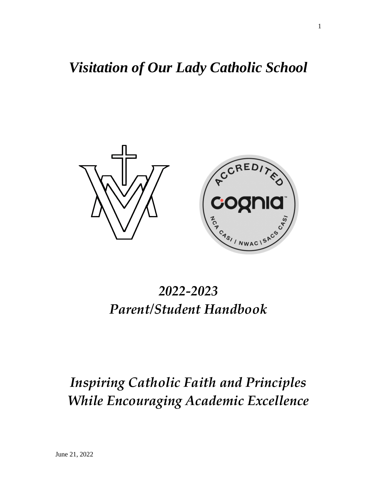# *Visitation of Our Lady Catholic School*



# *2022-2023 Parent/Student Handbook*

# *Inspiring Catholic Faith and Principles While Encouraging Academic Excellence*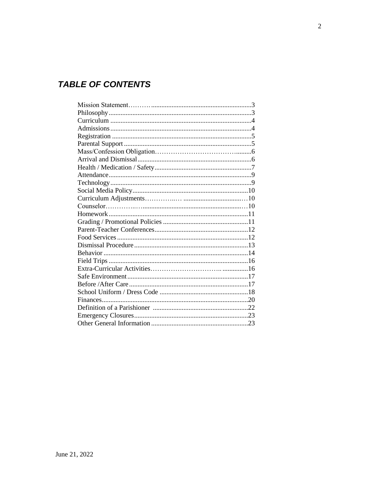# **TABLE OF CONTENTS**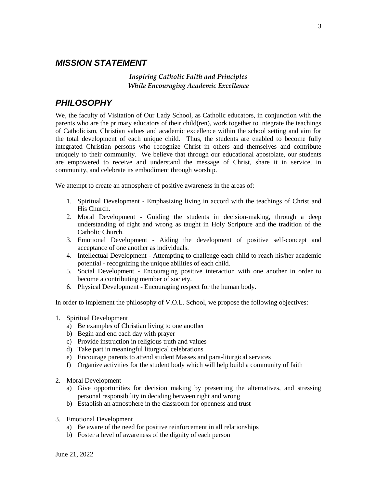#### *MISSION STATEMENT*

#### *Inspiring Catholic Faith and Principles While Encouraging Academic Excellence*

## *PHILOSOPHY*

We, the faculty of Visitation of Our Lady School, as Catholic educators, in conjunction with the parents who are the primary educators of their child(ren), work together to integrate the teachings of Catholicism, Christian values and academic excellence within the school setting and aim for the total development of each unique child. Thus, the students are enabled to become fully integrated Christian persons who recognize Christ in others and themselves and contribute uniquely to their community. We believe that through our educational apostolate, our students are empowered to receive and understand the message of Christ, share it in service, in community, and celebrate its embodiment through worship.

We attempt to create an atmosphere of positive awareness in the areas of:

- 1. Spiritual Development Emphasizing living in accord with the teachings of Christ and His Church.
- 2. Moral Development Guiding the students in decision-making, through a deep understanding of right and wrong as taught in Holy Scripture and the tradition of the Catholic Church.
- 3. Emotional Development Aiding the development of positive self-concept and acceptance of one another as individuals.
- 4. Intellectual Development Attempting to challenge each child to reach his/her academic potential - recognizing the unique abilities of each child.
- 5. Social Development Encouraging positive interaction with one another in order to become a contributing member of society.
- 6. Physical Development Encouraging respect for the human body.

In order to implement the philosophy of V.O.L. School, we propose the following objectives:

- 1. Spiritual Development
	- a) Be examples of Christian living to one another
	- b) Begin and end each day with prayer
	- c) Provide instruction in religious truth and values
	- d) Take part in meaningful liturgical celebrations
	- e) Encourage parents to attend student Masses and para-liturgical services
	- f) Organize activities for the student body which will help build a community of faith
- 2. Moral Development
	- a) Give opportunities for decision making by presenting the alternatives, and stressing personal responsibility in deciding between right and wrong
	- b) Establish an atmosphere in the classroom for openness and trust
- 3. Emotional Development
	- a) Be aware of the need for positive reinforcement in all relationships
	- b) Foster a level of awareness of the dignity of each person

3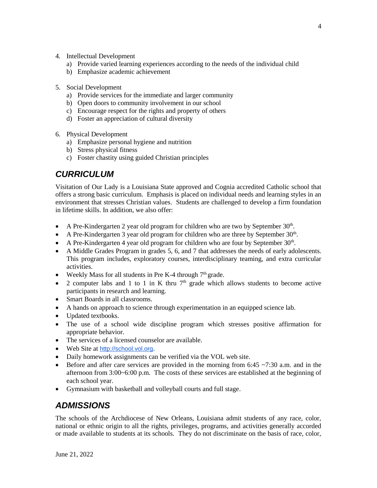- 4. Intellectual Development
	- a) Provide varied learning experiences according to the needs of the individual child
	- b) Emphasize academic achievement
- 5. Social Development
	- a) Provide services for the immediate and larger community
	- b) Open doors to community involvement in our school
	- c) Encourage respect for the rights and property of others
	- d) Foster an appreciation of cultural diversity
- 6. Physical Development
	- a) Emphasize personal hygiene and nutrition
	- b) Stress physical fitness
	- c) Foster chastity using guided Christian principles

## *CURRICULUM*

Visitation of Our Lady is a Louisiana State approved and Cognia accredited Catholic school that offers a strong basic curriculum. Emphasis is placed on individual needs and learning styles in an environment that stresses Christian values. Students are challenged to develop a firm foundation in lifetime skills. In addition, we also offer:

- A Pre-Kindergarten 2 year old program for children who are two by September  $30<sup>th</sup>$ .
- A Pre-Kindergarten 3 year old program for children who are three by September  $30<sup>th</sup>$ .
- A Pre-Kindergarten 4 year old program for children who are four by September  $30<sup>th</sup>$ .
- A Middle Grades Program in grades 5, 6, and 7 that addresses the needs of early adolescents. This program includes, exploratory courses, interdisciplinary teaming, and extra curricular activities.
- Weekly Mass for all students in Pre K-4 through  $7<sup>th</sup>$  grade.
- 2 computer labs and 1 to 1 in K thru  $7<sup>th</sup>$  grade which allows students to become active participants in research and learning.
- Smart Boards in all classrooms.
- A hands on approach to science through experimentation in an equipped science lab.
- Updated textbooks.
- The use of a school wide discipline program which stresses positive affirmation for appropriate behavior.
- The services of a licensed counselor are available.
- Web Site at [http://school.vol.org](http://school.vol.org/).
- Daily homework assignments can be verified via the VOL web site.
- Before and after care services are provided in the morning from 6:45  $\sim$ 7:30 a.m. and in the afternoon from 3:00~6:00 p.m. The costs of these services are established at the beginning of each school year.
- Gymnasium with basketball and volleyball courts and full stage.

## *ADMISSIONS*

The schools of the Archdiocese of New Orleans, Louisiana admit students of any race, color, national or ethnic origin to all the rights, privileges, programs, and activities generally accorded or made available to students at its schools. They do not discriminate on the basis of race, color,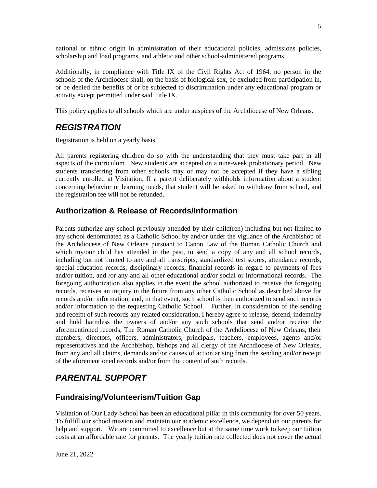national or ethnic origin in administration of their educational policies, admissions policies, scholarship and load programs, and athletic and other school-administered programs.

Additionally, in compliance with Title IX of the Civil Rights Act of 1964, no person in the schools of the Archdiocese shall, on the basis of biological sex, be excluded from participation in, or be denied the benefits of or be subjected to discrimination under any educational program or activity except permitted under said Title IX.

This policy applies to all schools which are under auspices of the Archdiocese of New Orleans.

## *REGISTRATION*

Registration is held on a yearly basis.

All parents registering children do so with the understanding that they must take part in all aspects of the curriculum. New students are accepted on a nine-week probationary period. New students transferring from other schools may or may not be accepted if they have a sibling currently enrolled at Visitation. If a parent deliberately withholds information about a student concerning behavior or learning needs, that student will be asked to withdraw from school, and the registration fee will not be refunded.

#### **Authorization & Release of Records/Information**

Parents authorize any school previously attended by their child(ren) including but not limited to any school denominated as a Catholic School by and/or under the vigilance of the Archbishop of the Archdiocese of New Orleans pursuant to Canon Law of the Roman Catholic Church and which my/our child has attended in the past, to send a copy of any and all school records, including but not limited to any and all transcripts, standardized test scores, attendance records, special-education records, disciplinary records, financial records in regard to payments of fees and/or tuition, and /or any and all other educational and/or social or informational records. The foregoing authorization also applies in the event the school authorized to receive the foregoing records, receives an inquiry in the future from any other Catholic School as described above for records and/or information; and, in that event, such school is then authorized to send such records and/or information to the requesting Catholic School. Further, in consideration of the sending and receipt of such records any related consideration, I hereby agree to release, defend, indemnify and hold harmless the owners of and/or any such schools that send and/or receive the aforementioned records, The Roman Catholic Church of the Archdiocese of New Orleans, their members, directors, officers, administrators, principals, teachers, employees, agents and/or representatives and the Archbishop, bishops and all clergy of the Archdiocese of New Orleans, from any and all claims, demands and/or causes of action arising from the sending and/or receipt of the aforementioned records and/or from the content of such records.

## *PARENTAL SUPPORT*

#### **Fundraising/Volunteerism/Tuition Gap**

Visitation of Our Lady School has been an educational pillar in this community for over 50 years. To fulfill our school mission and maintain our academic excellence, we depend on our parents for help and support. We are committed to excellence but at the same time work to keep our tuition costs at an affordable rate for parents. The yearly tuition rate collected does not cover the actual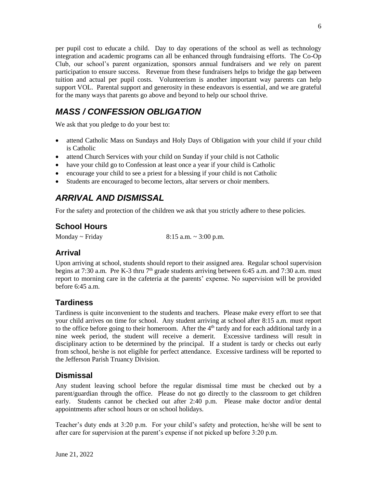per pupil cost to educate a child. Day to day operations of the school as well as technology integration and academic programs can all be enhanced through fundraising efforts. The Co-Op Club, our school's parent organization, sponsors annual fundraisers and we rely on parent participation to ensure success. Revenue from these fundraisers helps to bridge the gap between tuition and actual per pupil costs. Volunteerism is another important way parents can help support VOL. Parental support and generosity in these endeavors is essential, and we are grateful for the many ways that parents go above and beyond to help our school thrive.

# *MASS / CONFESSION OBLIGATION*

We ask that you pledge to do your best to:

- attend Catholic Mass on Sundays and Holy Days of Obligation with your child if your child is Catholic
- attend Church Services with your child on Sunday if your child is not Catholic
- have your child go to Confession at least once a year if your child is Catholic
- encourage your child to see a priest for a blessing if your child is not Catholic
- Students are encouraged to become lectors, altar servers or choir members.

## *ARRIVAL AND DISMISSAL*

For the safety and protection of the children we ask that you strictly adhere to these policies.

## **School Hours**

Monday ~ Friday 8:15 a.m. ~ 3:00 p.m.

## **Arrival**

Upon arriving at school, students should report to their assigned area. Regular school supervision begins at 7:30 a.m. Pre K-3 thru  $7<sup>th</sup>$  grade students arriving between 6:45 a.m. and 7:30 a.m. must report to morning care in the cafeteria at the parents' expense. No supervision will be provided before 6:45 a.m.

## **Tardiness**

Tardiness is quite inconvenient to the students and teachers. Please make every effort to see that your child arrives on time for school. Any student arriving at school after 8:15 a.m. must report to the office before going to their homeroom. After the  $4<sup>th</sup>$  tardy and for each additional tardy in a nine week period, the student will receive a demerit. Excessive tardiness will result in disciplinary action to be determined by the principal. If a student is tardy or checks out early from school, he/she is not eligible for perfect attendance. Excessive tardiness will be reported to the Jefferson Parish Truancy Division.

## **Dismissal**

Any student leaving school before the regular dismissal time must be checked out by a parent/guardian through the office. Please do not go directly to the classroom to get children early. Students cannot be checked out after 2:40 p.m. Please make doctor and/or dental appointments after school hours or on school holidays.

Teacher's duty ends at 3:20 p.m. For your child's safety and protection, he/she will be sent to after care for supervision at the parent's expense if not picked up before 3:20 p.m.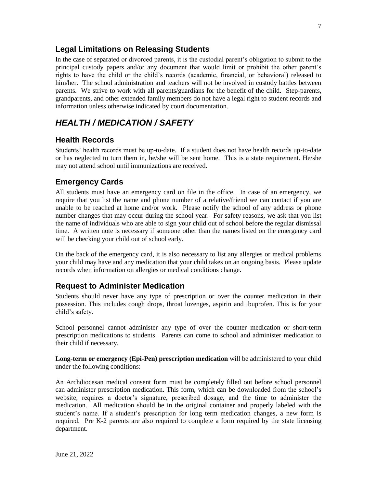#### **Legal Limitations on Releasing Students**

In the case of separated or divorced parents, it is the custodial parent's obligation to submit to the principal custody papers and/or any document that would limit or prohibit the other parent's rights to have the child or the child's records (academic, financial, or behavioral) released to him/her. The school administration and teachers will not be involved in custody battles between parents. We strive to work with all parents/guardians for the benefit of the child. Step-parents, grandparents, and other extended family members do not have a legal right to student records and information unless otherwise indicated by court documentation.

## *HEALTH / MEDICATION / SAFETY*

#### **Health Records**

Students' health records must be up-to-date. If a student does not have health records up-to-date or has neglected to turn them in, he/she will be sent home. This is a state requirement. He/she may not attend school until immunizations are received.

#### **Emergency Cards**

All students must have an emergency card on file in the office. In case of an emergency, we require that you list the name and phone number of a relative/friend we can contact if you are unable to be reached at home and/or work. Please notify the school of any address or phone number changes that may occur during the school year. For safety reasons, we ask that you list the name of individuals who are able to sign your child out of school before the regular dismissal time. A written note is necessary if someone other than the names listed on the emergency card will be checking your child out of school early.

On the back of the emergency card, it is also necessary to list any allergies or medical problems your child may have and any medication that your child takes on an ongoing basis. Please update records when information on allergies or medical conditions change.

#### **Request to Administer Medication**

Students should never have any type of prescription or over the counter medication in their possession. This includes cough drops, throat lozenges, aspirin and ibuprofen. This is for your child's safety.

School personnel cannot administer any type of over the counter medication or short-term prescription medications to students. Parents can come to school and administer medication to their child if necessary.

**Long-term or emergency (Epi-Pen) prescription medication** will be administered to your child under the following conditions:

An Archdiocesan medical consent form must be completely filled out before school personnel can administer prescription medication. This form, which can be downloaded from the school's website, requires a doctor's signature, prescribed dosage, and the time to administer the medication. All medication should be in the original container and properly labeled with the student's name. If a student's prescription for long term medication changes, a new form is required. Pre K-2 parents are also required to complete a form required by the state licensing department.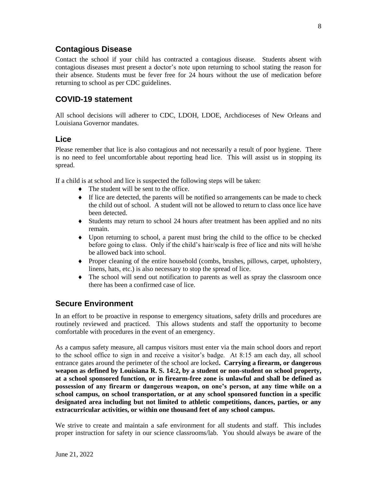#### **Contagious Disease**

Contact the school if your child has contracted a contagious disease. Students absent with contagious diseases must present a doctor's note upon returning to school stating the reason for their absence. Students must be fever free for 24 hours without the use of medication before returning to school as per CDC guidelines.

#### **COVID-19 statement**

All school decisions will adherer to CDC, LDOH, LDOE, Archdioceses of New Orleans and Louisiana Governor mandates.

#### **Lice**

Please remember that lice is also contagious and not necessarily a result of poor hygiene. There is no need to feel uncomfortable about reporting head lice. This will assist us in stopping its spread.

If a child is at school and lice is suspected the following steps will be taken:

- The student will be sent to the office.
- If lice are detected, the parents will be notified so arrangements can be made to check the child out of school. A student will not be allowed to return to class once lice have been detected.
- Students may return to school 24 hours after treatment has been applied and no nits remain.
- Upon returning to school, a parent must bring the child to the office to be checked before going to class. Only if the child's hair/scalp is free of lice and nits will he/she be allowed back into school.
- Proper cleaning of the entire household (combs, brushes, pillows, carpet, upholstery, linens, hats, etc.) is also necessary to stop the spread of lice.
- The school will send out notification to parents as well as spray the classroom once there has been a confirmed case of lice.

#### **Secure Environment**

In an effort to be proactive in response to emergency situations, safety drills and procedures are routinely reviewed and practiced. This allows students and staff the opportunity to become comfortable with procedures in the event of an emergency.

As a campus safety measure, all campus visitors must enter via the main school doors and report to the school office to sign in and receive a visitor's badge. At 8:15 am each day, all school entrance gates around the perimeter of the school are locked**. Carrying a firearm, or dangerous weapon as defined by Louisiana R. S. 14:2, by a student or non-student on school property, at a school sponsored function, or in firearm-free zone is unlawful and shall be defined as possession of any firearm or dangerous weapon, on one's person, at any time while on a school campus, on school transportation, or at any school sponsored function in a specific designated area including but not limited to athletic competitions, dances, parties, or any extracurricular activities, or within one thousand feet of any school campus.**

We strive to create and maintain a safe environment for all students and staff. This includes proper instruction for safety in our science classrooms/lab. You should always be aware of the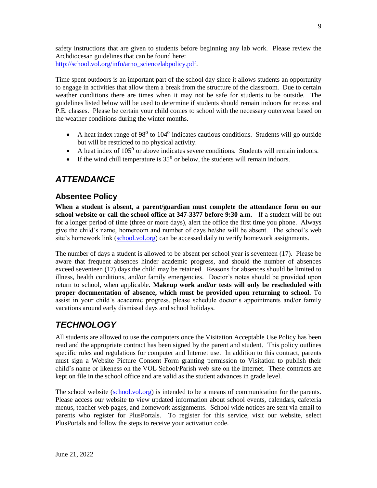safety instructions that are given to students before beginning any lab work. Please review the Archdiocesan guidelines that can be found here: [http://school.vol.org/info/arno\\_sciencelabpolicy.pdf.](http://school.vol.org/info/arno_sciencelabpolicy.pdf)

Time spent outdoors is an important part of the school day since it allows students an opportunity to engage in activities that allow them a break from the structure of the classroom. Due to certain weather conditions there are times when it may not be safe for students to be outside. The guidelines listed below will be used to determine if students should remain indoors for recess and P.E. classes. Please be certain your child comes to school with the necessary outerwear based on the weather conditions during the winter months.

- A heat index range of  $98^{\circ}$  to  $104^{\circ}$  indicates cautious conditions. Students will go outside but will be restricted to no physical activity.
- A heat index of  $105<sup>0</sup>$  or above indicates severe conditions. Students will remain indoors.
- If the wind chill temperature is  $35<sup>0</sup>$  or below, the students will remain indoors.

## *ATTENDANCE*

#### **Absentee Policy**

**When a student is absent, a parent/guardian must complete the attendance form on our school website or call the school office at 347-3377 before 9:30 a.m.** If a student will be out for a longer period of time (three or more days), alert the office the first time you phone. Always give the child's name, homeroom and number of days he/she will be absent. The school's web site's homework link [\(school.vol.org\)](http://school.vol.org/) can be accessed daily to verify homework assignments.

The number of days a student is allowed to be absent per school year is seventeen (17). Please be aware that frequent absences hinder academic progress, and should the number of absences exceed seventeen (17) days the child may be retained. Reasons for absences should be limited to illness, health conditions, and/or family emergencies. Doctor's notes should be provided upon return to school, when applicable. **Makeup work and/or tests will only be rescheduled with proper documentation of absence, which must be provided upon returning to school.** To assist in your child's academic progress, please schedule doctor's appointments and/or family vacations around early dismissal days and school holidays.

# *TECHNOLOGY*

All students are allowed to use the computers once the Visitation Acceptable Use Policy has been read and the appropriate contract has been signed by the parent and student. This policy outlines specific rules and regulations for computer and Internet use. In addition to this contract, parents must sign a Website Picture Consent Form granting permission to Visitation to publish their child's name or likeness on the VOL School/Parish web site on the Internet. These contracts are kept on file in the school office and are valid as the student advances in grade level.

The school website [\(school.vol.org\)](http://school.vol.org/) is intended to be a means of communication for the parents. Please access our website to view updated information about school events, calendars, cafeteria menus, teacher web pages, and homework assignments. School wide notices are sent via email to parents who register for PlusPortals. To register for this service, visit our website, select PlusPortals and follow the steps to receive your activation code.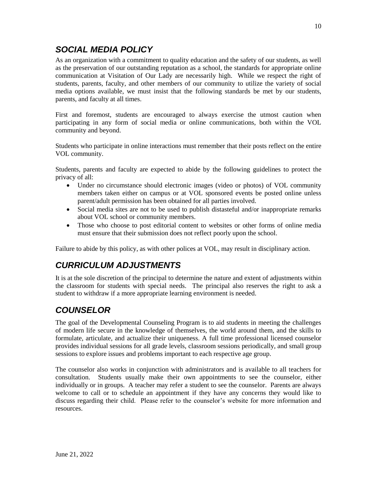## *SOCIAL MEDIA POLICY*

As an organization with a commitment to quality education and the safety of our students, as well as the preservation of our outstanding reputation as a school, the standards for appropriate online communication at Visitation of Our Lady are necessarily high. While we respect the right of students, parents, faculty, and other members of our community to utilize the variety of social media options available, we must insist that the following standards be met by our students, parents, and faculty at all times.

First and foremost, students are encouraged to always exercise the utmost caution when participating in any form of social media or online communications, both within the VOL community and beyond.

Students who participate in online interactions must remember that their posts reflect on the entire VOL community.

Students, parents and faculty are expected to abide by the following guidelines to protect the privacy of all:

- Under no circumstance should electronic images (video or photos) of VOL community members taken either on campus or at VOL sponsored events be posted online unless parent/adult permission has been obtained for all parties involved.
- Social media sites are not to be used to publish distasteful and/or inappropriate remarks about VOL school or community members.
- Those who choose to post editorial content to websites or other forms of online media must ensure that their submission does not reflect poorly upon the school.

Failure to abide by this policy, as with other polices at VOL, may result in disciplinary action.

## *CURRICULUM ADJUSTMENTS*

It is at the sole discretion of the principal to determine the nature and extent of adjustments within the classroom for students with special needs. The principal also reserves the right to ask a student to withdraw if a more appropriate learning environment is needed.

## *COUNSELOR*

The goal of the Developmental Counseling Program is to aid students in meeting the challenges of modern life secure in the knowledge of themselves, the world around them, and the skills to formulate, articulate, and actualize their uniqueness. A full time professional licensed counselor provides individual sessions for all grade levels, classroom sessions periodically, and small group sessions to explore issues and problems important to each respective age group.

The counselor also works in conjunction with administrators and is available to all teachers for consultation. Students usually make their own appointments to see the counselor, either individually or in groups. A teacher may refer a student to see the counselor. Parents are always welcome to call or to schedule an appointment if they have any concerns they would like to discuss regarding their child. Please refer to the counselor's website for more information and resources.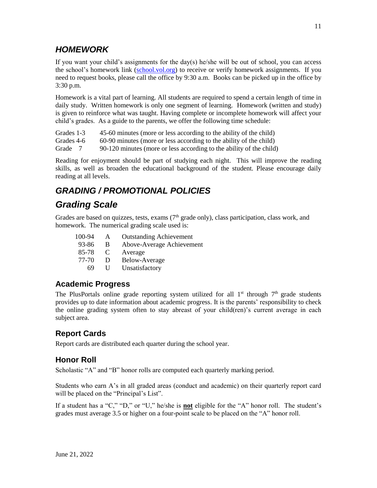## *HOMEWORK*

If you want your child's assignments for the day(s) he/she will be out of school, you can access the school's homework link [\(school.vol.org\)](http://school.vol.org/) to receive or verify homework assignments. If you need to request books, please call the office by 9:30 a.m. Books can be picked up in the office by 3:30 p.m.

Homework is a vital part of learning. All students are required to spend a certain length of time in daily study. Written homework is only one segment of learning. Homework (written and study) is given to reinforce what was taught. Having complete or incomplete homework will affect your child's grades. As a guide to the parents, we offer the following time schedule:

Grades 1-3 45-60 minutes (more or less according to the ability of the child)

Grades 4-6 60-90 minutes (more or less according to the ability of the child)

Grade 7 90-120 minutes (more or less according to the ability of the child)

Reading for enjoyment should be part of studying each night. This will improve the reading skills, as well as broaden the educational background of the student. Please encourage daily reading at all levels.

# *GRADING / PROMOTIONAL POLICIES*

## *Grading Scale*

Grades are based on quizzes, tests, exams (7<sup>th</sup> grade only), class participation, class work, and homework. The numerical grading scale used is:

| 100-94 | A              | <b>Outstanding Achievement</b> |
|--------|----------------|--------------------------------|
| 93-86  | B              | Above-Average Achievement      |
| 85-78  | $\mathbf C$    | Average                        |
| 77-70  | $\blacksquare$ | Below-Average                  |
| 69     | Н              | Unsatisfactory                 |

#### **Academic Progress**

The PlusPortals online grade reporting system utilized for all  $1<sup>st</sup>$  through  $7<sup>th</sup>$  grade students provides up to date information about academic progress. It is the parents' responsibility to check the online grading system often to stay abreast of your child(ren)'s current average in each subject area.

## **Report Cards**

Report cards are distributed each quarter during the school year.

## **Honor Roll**

Scholastic "A" and "B" honor rolls are computed each quarterly marking period.

Students who earn A's in all graded areas (conduct and academic) on their quarterly report card will be placed on the "Principal's List".

If a student has a "C," "D," or "U," he/she is **not** eligible for the "A" honor roll. The student's grades must average 3.5 or higher on a four-point scale to be placed on the "A" honor roll.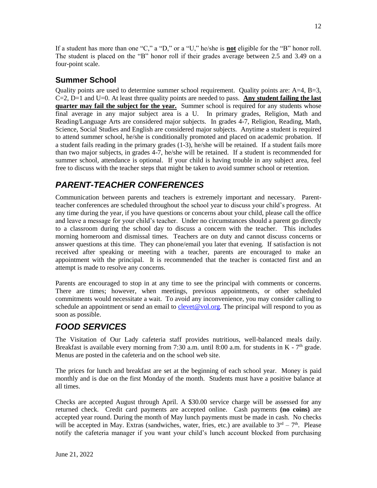If a student has more than one "C," a "D," or a "U," he/she is **not** eligible for the "B" honor roll. The student is placed on the "B" honor roll if their grades average between 2.5 and 3.49 on a four-point scale.

#### **Summer School**

Quality points are used to determine summer school requirement. Quality points are:  $A=4$ ,  $B=3$ , C=2, D=1 and U=0. At least three quality points are needed to pass. **Any student failing the last quarter may fail the subject for the year.** Summer school is required for any students whose final average in any major subject area is a U. In primary grades, Religion, Math and Reading/Language Arts are considered major subjects. In grades 4-7, Religion, Reading, Math, Science, Social Studies and English are considered major subjects. Anytime a student is required to attend summer school, he/she is conditionally promoted and placed on academic probation. If a student fails reading in the primary grades (1-3), he/she will be retained. If a student fails more than two major subjects, in grades 4-7, he/she will be retained. If a student is recommended for summer school, attendance is optional. If your child is having trouble in any subject area, feel free to discuss with the teacher steps that might be taken to avoid summer school or retention.

## *PARENT-TEACHER CONFERENCES*

Communication between parents and teachers is extremely important and necessary. Parentteacher conferences are scheduled throughout the school year to discuss your child's progress. At any time during the year, if you have questions or concerns about your child, please call the office and leave a message for your child's teacher. Under no circumstances should a parent go directly to a classroom during the school day to discuss a concern with the teacher. This includes morning homeroom and dismissal times. Teachers are on duty and cannot discuss concerns or answer questions at this time. They can phone/email you later that evening. If satisfaction is not received after speaking or meeting with a teacher, parents are encouraged to make an appointment with the principal. It is recommended that the teacher is contacted first and an attempt is made to resolve any concerns.

Parents are encouraged to stop in at any time to see the principal with comments or concerns. There are times; however, when meetings, previous appointments, or other scheduled commitments would necessitate a wait. To avoid any inconvenience, you may consider calling to schedule an appointment or send an email to [clevet@vol.org.](mailto:clevet@vol.org) The principal will respond to you as soon as possible.

# *FOOD SERVICES*

The Visitation of Our Lady cafeteria staff provides nutritious, well-balanced meals daily. Breakfast is available every morning from 7:30 a.m. until 8:00 a.m. for students in  $K - 7<sup>th</sup>$  grade. Menus are posted in the cafeteria and on the school web site.

The prices for lunch and breakfast are set at the beginning of each school year. Money is paid monthly and is due on the first Monday of the month. Students must have a positive balance at all times.

Checks are accepted August through April. A \$30.00 service charge will be assessed for any returned check. Credit card payments are accepted online. Cash payments **(no coins)** are accepted year round. During the month of May lunch payments must be made in cash. No checks will be accepted in May. Extras (sandwiches, water, fries, etc.) are available to  $3<sup>rd</sup> - 7<sup>th</sup>$ . Please notify the cafeteria manager if you want your child's lunch account blocked from purchasing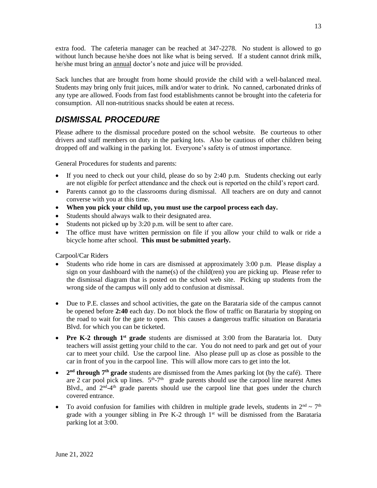extra food. The cafeteria manager can be reached at 347-2278. No student is allowed to go without lunch because he/she does not like what is being served. If a student cannot drink milk, he/she must bring an annual doctor's note and juice will be provided.

Sack lunches that are brought from home should provide the child with a well-balanced meal. Students may bring only fruit juices, milk and/or water to drink. No canned, carbonated drinks of any type are allowed. Foods from fast food establishments cannot be brought into the cafeteria for consumption. All non-nutritious snacks should be eaten at recess.

## *DISMISSAL PROCEDURE*

Please adhere to the dismissal procedure posted on the school website. Be courteous to other drivers and staff members on duty in the parking lots. Also be cautious of other children being dropped off and walking in the parking lot. Everyone's safety is of utmost importance.

General Procedures for students and parents:

- If you need to check out your child, please do so by 2:40 p.m. Students checking out early are not eligible for perfect attendance and the check out is reported on the child's report card.
- Parents cannot go to the classrooms during dismissal. All teachers are on duty and cannot converse with you at this time.
- **When you pick your child up, you must use the carpool process each day.**
- Students should always walk to their designated area.
- Students not picked up by 3:20 p.m. will be sent to after care.
- The office must have written permission on file if you allow your child to walk or ride a bicycle home after school. **This must be submitted yearly.**

Carpool/Car Riders

- Students who ride home in cars are dismissed at approximately 3:00 p.m. Please display a sign on your dashboard with the name(s) of the child(ren) you are picking up. Please refer to the dismissal diagram that is posted on the school web site. Picking up students from the wrong side of the campus will only add to confusion at dismissal.
- Due to P.E. classes and school activities, the gate on the Barataria side of the campus cannot be opened before **2:40** each day. Do not block the flow of traffic on Barataria by stopping on the road to wait for the gate to open. This causes a dangerous traffic situation on Barataria Blvd. for which you can be ticketed.
- Pre K-2 through 1<sup>st</sup> grade students are dismissed at 3:00 from the Barataria lot. Duty teachers will assist getting your child to the car. You do not need to park and get out of your car to meet your child. Use the carpool line. Also please pull up as close as possible to the car in front of you in the carpool line. This will allow more cars to get into the lot.
- 2<sup>nd</sup> **through 7<sup>th</sup> grade** students are dismissed from the Ames parking lot (by the café). There are 2 car pool pick up lines.  $5<sup>th</sup> - 7<sup>th</sup>$  grade parents should use the carpool line nearest Ames Blvd., and  $2<sup>nd</sup>-4<sup>th</sup>$  grade parents should use the carpool line that goes under the church covered entrance.
- To avoid confusion for families with children in multiple grade levels, students in  $2<sup>nd</sup> \sim 7<sup>th</sup>$ grade with a younger sibling in Pre K-2 through  $1<sup>st</sup>$  will be dismissed from the Barataria parking lot at 3:00.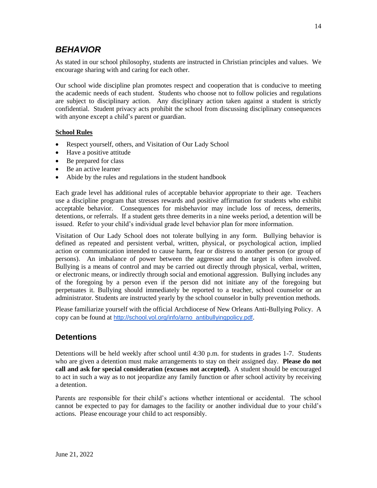## *BEHAVIOR*

As stated in our school philosophy, students are instructed in Christian principles and values. We encourage sharing with and caring for each other.

Our school wide discipline plan promotes respect and cooperation that is conducive to meeting the academic needs of each student. Students who choose not to follow policies and regulations are subject to disciplinary action. Any disciplinary action taken against a student is strictly confidential. Student privacy acts prohibit the school from discussing disciplinary consequences with anyone except a child's parent or guardian.

#### **School Rules**

- Respect yourself, others, and Visitation of Our Lady School
- Have a positive attitude
- Be prepared for class
- Be an active learner
- Abide by the rules and regulations in the student handbook

Each grade level has additional rules of acceptable behavior appropriate to their age. Teachers use a discipline program that stresses rewards and positive affirmation for students who exhibit acceptable behavior. Consequences for misbehavior may include loss of recess, demerits, detentions, or referrals. If a student gets three demerits in a nine weeks period, a detention will be issued. Refer to your child's individual grade level behavior plan for more information.

Visitation of Our Lady School does not tolerate bullying in any form. Bullying behavior is defined as repeated and persistent verbal, written, physical, or psychological action, implied action or communication intended to cause harm, fear or distress to another person (or group of persons). An imbalance of power between the aggressor and the target is often involved. Bullying is a means of control and may be carried out directly through physical, verbal, written, or electronic means, or indirectly through social and emotional aggression. Bullying includes any of the foregoing by a person even if the person did not initiate any of the foregoing but perpetuates it. Bullying should immediately be reported to a teacher, school counselor or an administrator. Students are instructed yearly by the school counselor in bully prevention methods.

Please familiarize yourself with the official Archdiocese of New Orleans Anti-Bullying Policy. A copy can be found at [http://school.vol.org/info/arno\\_antibullyingpolicy.pdf](http://school.vol.org/info/arno_antibullyingpolicy.pdf).

#### **Detentions**

Detentions will be held weekly after school until 4:30 p.m. for students in grades 1-7. Students who are given a detention must make arrangements to stay on their assigned day. **Please do not call and ask for special consideration (excuses not accepted).** A student should be encouraged to act in such a way as to not jeopardize any family function or after school activity by receiving a detention.

Parents are responsible for their child's actions whether intentional or accidental. The school cannot be expected to pay for damages to the facility or another individual due to your child's actions. Please encourage your child to act responsibly.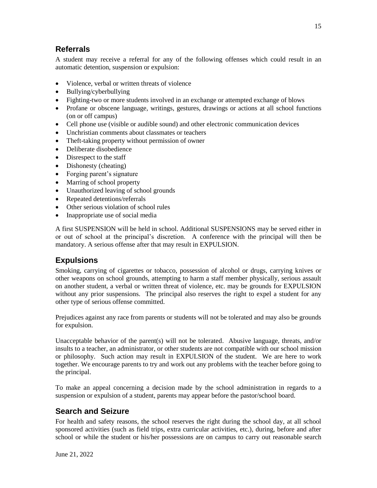#### **Referrals**

A student may receive a referral for any of the following offenses which could result in an automatic detention, suspension or expulsion:

- Violence, verbal or written threats of violence
- Bullying/cyberbullying
- Fighting-two or more students involved in an exchange or attempted exchange of blows
- Profane or obscene language, writings, gestures, drawings or actions at all school functions (on or off campus)
- Cell phone use (visible or audible sound) and other electronic communication devices
- Unchristian comments about classmates or teachers
- Theft-taking property without permission of owner
- Deliberate disobedience
- Disrespect to the staff
- Dishonesty (cheating)
- Forging parent's signature
- Marring of school property
- Unauthorized leaving of school grounds
- Repeated detentions/referrals
- Other serious violation of school rules
- Inappropriate use of social media

A first SUSPENSION will be held in school. Additional SUSPENSIONS may be served either in or out of school at the principal's discretion. A conference with the principal will then be mandatory. A serious offense after that may result in EXPULSION.

## **Expulsions**

Smoking, carrying of cigarettes or tobacco, possession of alcohol or drugs, carrying knives or other weapons on school grounds, attempting to harm a staff member physically, serious assault on another student, a verbal or written threat of violence, etc. may be grounds for EXPULSION without any prior suspensions. The principal also reserves the right to expel a student for any other type of serious offense committed.

Prejudices against any race from parents or students will not be tolerated and may also be grounds for expulsion.

Unacceptable behavior of the parent(s) will not be tolerated. Abusive language, threats, and/or insults to a teacher, an administrator, or other students are not compatible with our school mission or philosophy. Such action may result in EXPULSION of the student. We are here to work together. We encourage parents to try and work out any problems with the teacher before going to the principal.

To make an appeal concerning a decision made by the school administration in regards to a suspension or expulsion of a student, parents may appear before the pastor/school board.

## **Search and Seizure**

For health and safety reasons, the school reserves the right during the school day, at all school sponsored activities (such as field trips, extra curricular activities, etc.), during, before and after school or while the student or his/her possessions are on campus to carry out reasonable search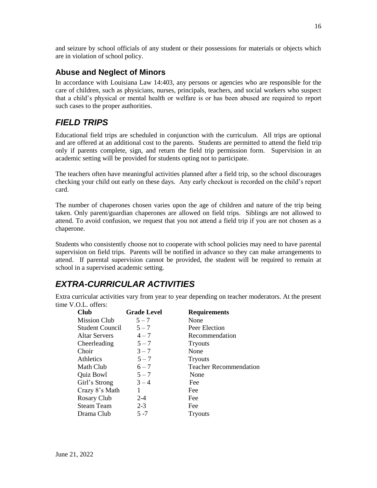and seizure by school officials of any student or their possessions for materials or objects which are in violation of school policy.

#### **Abuse and Neglect of Minors**

In accordance with Louisiana Law 14:403, any persons or agencies who are responsible for the care of children, such as physicians, nurses, principals, teachers, and social workers who suspect that a child's physical or mental health or welfare is or has been abused are required to report such cases to the proper authorities.

## *FIELD TRIPS*

Educational field trips are scheduled in conjunction with the curriculum. All trips are optional and are offered at an additional cost to the parents. Students are permitted to attend the field trip only if parents complete, sign, and return the field trip permission form. Supervision in an academic setting will be provided for students opting not to participate.

The teachers often have meaningful activities planned after a field trip, so the school discourages checking your child out early on these days. Any early checkout is recorded on the child's report card.

The number of chaperones chosen varies upon the age of children and nature of the trip being taken. Only parent/guardian chaperones are allowed on field trips. Siblings are not allowed to attend. To avoid confusion, we request that you not attend a field trip if you are not chosen as a chaperone.

Students who consistently choose not to cooperate with school policies may need to have parental supervision on field trips. Parents will be notified in advance so they can make arrangements to attend. If parental supervision cannot be provided, the student will be required to remain at school in a supervised academic setting.

## *EXTRA-CURRICULAR ACTIVITIES*

Extra curricular activities vary from year to year depending on teacher moderators. At the present time V.O.L. offers:

| <b>Grade Level</b> | <b>Requirements</b>           |
|--------------------|-------------------------------|
| $5 - 7$            | None                          |
| $5 - 7$            | Peer Election                 |
| $4 - 7$            | Recommendation                |
| $5 - 7$            | <b>Tryouts</b>                |
| $3 - 7$            | None                          |
| $5 - 7$            | <b>Tryouts</b>                |
| $6 - 7$            | <b>Teacher Recommendation</b> |
| $5 - 7$            | None                          |
| $3 - 4$            | Fee                           |
| 1                  | Fee                           |
| $2 - 4$            | Fee                           |
| $2 - 3$            | Fee                           |
| 5 -7               | <b>Tryouts</b>                |
|                    |                               |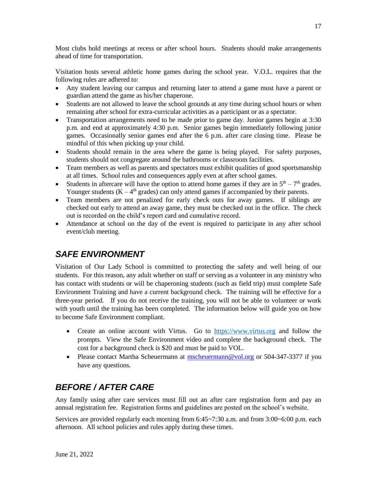Most clubs hold meetings at recess or after school hours. Students should make arrangements ahead of time for transportation.

Visitation hosts several athletic home games during the school year. V.O.L. requires that the following rules are adhered to:

- Any student leaving our campus and returning later to attend a game must have a parent or guardian attend the game as his/her chaperone.
- Students are not allowed to leave the school grounds at any time during school hours or when remaining after school for extra-curricular activities as a participant or as a spectator.
- Transportation arrangements need to be made prior to game day. Junior games begin at 3:30 p.m. and end at approximately 4:30 p.m. Senior games begin immediately following junior games. Occasionally senior games end after the 6 p.m. after care closing time. Please be mindful of this when picking up your child.
- Students should remain in the area where the game is being played. For safety purposes, students should not congregate around the bathrooms or classroom facilities.
- Team members as well as parents and spectators must exhibit qualities of good sportsmanship at all times. School rules and consequences apply even at after school games.
- Students in aftercare will have the option to attend home games if they are in  $5<sup>th</sup> 7<sup>th</sup>$  grades. Younger students  $(K - 4<sup>th</sup>$  grades) can only attend games if accompanied by their parents.
- Team members are not penalized for early check outs for away games. If siblings are checked out early to attend an away game, they must be checked out in the office. The check out is recorded on the child's report card and cumulative record.
- Attendance at school on the day of the event is required to participate in any after school event/club meeting.

## *SAFE ENVIRONMENT*

Visitation of Our Lady School is committed to protecting the safety and well being of our students. For this reason, any adult whether on staff or serving as a volunteer in any ministry who has contact with students or will be chaperoning students (such as field trip) must complete Safe Environment Training and have a current background check. The training will be effective for a three-year period. If you do not receive the training, you will not be able to volunteer or work with youth until the training has been completed. The information below will guide you on how to become Safe Environment compliant.

- Create an online account with Virtus. Go to [https://www.virtus.org](https://www.virtus.org/) and follow the prompts. View the Safe Environment video and complete the background check. The cost for a background check is \$20 and must be paid to VOL.
- Please contact Martha Scheuermann at [mscheuermann@vol.org](mailto:mscheuermann@vol.org) or 504-347-3377 if you have any questions.

# *BEFORE / AFTER CARE*

Any family using after care services must fill out an after care registration form and pay an annual registration fee. Registration forms and guidelines are posted on the school's website.

Services are provided regularly each morning from 6:45~7:30 a.m. and from 3:00~6:00 p.m. each afternoon. All school policies and rules apply during these times.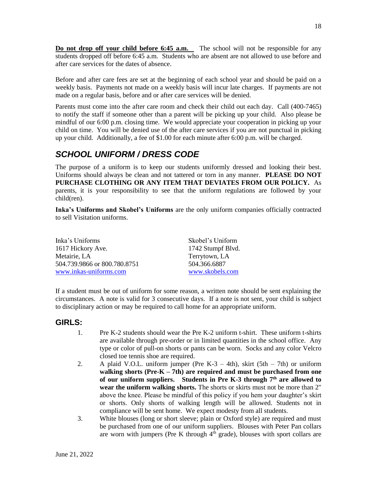**Do not drop off your child before 6:45 <b>a.m.** The school will not be responsible for any students dropped off before 6:45 a.m. Students who are absent are not allowed to use before and after care services for the dates of absence.

Before and after care fees are set at the beginning of each school year and should be paid on a weekly basis. Payments not made on a weekly basis will incur late charges. If payments are not made on a regular basis, before and or after care services will be denied.

Parents must come into the after care room and check their child out each day. Call (400-7465) to notify the staff if someone other than a parent will be picking up your child. Also please be mindful of our 6:00 p.m. closing time. We would appreciate your cooperation in picking up your child on time. You will be denied use of the after care services if you are not punctual in picking up your child. Additionally, a fee of \$1.00 for each minute after 6:00 p.m. will be charged.

## *SCHOOL UNIFORM / DRESS CODE*

The purpose of a uniform is to keep our students uniformly dressed and looking their best. Uniforms should always be clean and not tattered or torn in any manner. **PLEASE DO NOT PURCHASE CLOTHING OR ANY ITEM THAT DEVIATES FROM OUR POLICY.** As parents, it is your responsibility to see that the uniform regulations are followed by your child(ren).

**Inka's Uniforms and Skobel's Uniforms** are the only uniform companies officially contracted to sell Visitation uniforms.

| Inka's Uniforms              | Skobel's Uniform  |
|------------------------------|-------------------|
| 1617 Hickory Ave.            | 1742 Stumpf Blvd. |
| Metairie. LA                 | Terrytown, LA     |
| 504.739.9866 or 800.780.8751 | 504.366.6887      |
| www.inkas-uniforms.com       | www.skobels.com   |

If a student must be out of uniform for some reason, a written note should be sent explaining the circumstances. A note is valid for 3 consecutive days. If a note is not sent, your child is subject to disciplinary action or may be required to call home for an appropriate uniform.

#### **GIRLS:**

- 1. Pre K-2 students should wear the Pre K-2 uniform t-shirt. These uniform t-shirts are available through pre-order or in limited quantities in the school office. Any type or color of pull-on shorts or pants can be worn. Socks and any color Velcro closed toe tennis shoe are required.
- 2. A plaid V.O.L. uniform jumper (Pre K-3 4th), skirt  $(5th 7th)$  or uniform **walking shorts (Pre-K – 7th) are required and must be purchased from one of our uniform suppliers. Students in Pre K-3 through 7th are allowed to wear the uniform walking shorts.** The shorts or skirts must not be more than 2" above the knee. Please be mindful of this policy if you hem your daughter's skirt or shorts. Only shorts of walking length will be allowed. Students not in compliance will be sent home. We expect modesty from all students.
- 3. White blouses (long or short sleeve; plain or Oxford style) are required and must be purchased from one of our uniform suppliers. Blouses with Peter Pan collars are worn with jumpers (Pre K through  $4^{\hat{\text{th}}}$  grade), blouses with sport collars are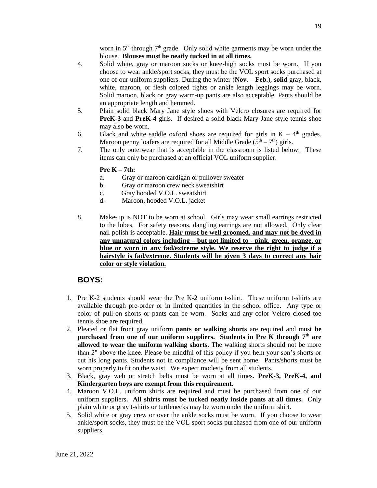worn in  $5<sup>th</sup>$  through  $7<sup>th</sup>$  grade. Only solid white garments may be worn under the blouse. **Blouses must be neatly tucked in at all times.**

- 4. Solid white, gray or maroon socks or knee-high socks must be worn. If you choose to wear ankle/sport socks, they must be the VOL sport socks purchased at one of our uniform suppliers. During the winter (**Nov. – Feb.**), **solid** gray, black, white, maroon, or flesh colored tights or ankle length leggings may be worn. Solid maroon, black or gray warm-up pants are also acceptable. Pants should be an appropriate length and hemmed.
- 5. Plain solid black Mary Jane style shoes with Velcro closures are required for **PreK-3** and **PreK-4** girls. If desired a solid black Mary Jane style tennis shoe may also be worn.
- 6. Black and white saddle oxford shoes are required for girls in  $K 4<sup>th</sup>$  grades. Maroon penny loafers are required for all Middle Grade  $(5<sup>th</sup> - 7<sup>th</sup>)$  girls.
- 7. The only outerwear that is acceptable in the classroom is listed below. These items can only be purchased at an official VOL uniform supplier.

#### **Pre K – 7th:**

- a. Gray or maroon cardigan or pullover sweater
- b. Gray or maroon crew neck sweatshirt
- c. Gray hooded V.O.L. sweatshirt
- d. Maroon, hooded V.O.L. jacket
- 8. Make-up is NOT to be worn at school. Girls may wear small earrings restricted to the lobes. For safety reasons, dangling earrings are not allowed. Only clear nail polish is acceptable. **Hair must be well groomed, and may not be dyed in any unnatural colors including – but not limited to - pink, green, orange, or blue or worn in any fad/extreme style. We reserve the right to judge if a hairstyle is fad/extreme. Students will be given 3 days to correct any hair color or style violation.**

#### **BOYS:**

- 1. Pre K-2 students should wear the Pre K-2 uniform t-shirt. These uniform t-shirts are available through pre-order or in limited quantities in the school office. Any type or color of pull-on shorts or pants can be worn. Socks and any color Velcro closed toe tennis shoe are required.
- 2. Pleated or flat front gray uniform **pants or walking shorts** are required and must **be purchased from one of our uniform suppliers. Students in Pre K through 7th are allowed to wear the uniform walking shorts.** The walking shorts should not be more than 2" above the knee. Please be mindful of this policy if you hem your son's shorts or cut his long pants. Students not in compliance will be sent home. Pants/shorts must be worn properly to fit on the waist. We expect modesty from all students.
- 3. Black, gray web or stretch belts must be worn at all times. **PreK-3, PreK-4, and Kindergarten boys are exempt from this requirement.**
- 4. Maroon V.O.L. uniform shirts are required and must be purchased from one of our uniform suppliers**. All shirts must be tucked neatly inside pants at all times.** Only plain white or gray t-shirts or turtlenecks may be worn under the uniform shirt.
- 5. Solid white or gray crew or over the ankle socks must be worn. If you choose to wear ankle/sport socks, they must be the VOL sport socks purchased from one of our uniform suppliers.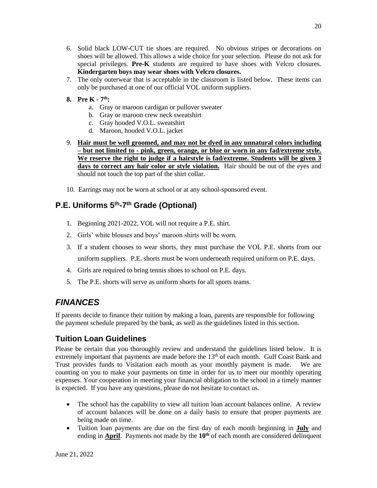- 6. Solid black LOW-CUT tie shoes are required. No obvious stripes or decorations on shoes will be allowed. This allows a wide choice for your selection. Please do not ask for special privileges. **Pre-K** students are required to have shoes with Velcro closures. **Kindergarten boys may wear shoes with Velcro closures.**
- 7. The only outerwear that is acceptable in the classroom is listed below. These items can only be purchased at one of our official VOL uniform suppliers.
- **8. Pre K - 7 th:**
	- a. Gray or maroon cardigan or pullover sweater
	- b. Gray or maroon crew neck sweatshirt
	- c. Gray hooded V.O.L. sweatshirt
	- d. Maroon, hooded V.O.L. jacket
- 9. **Hair must be well groomed, and may not be dyed in any unnatural colors including – but not limited to - pink, green, orange, or blue or worn in any fad/extreme style. We reserve the right to judge if a hairstyle is fad/extreme. Students will be given 3 days to correct any hair color or style violation.** Hair should be out of the eyes and should not touch the top part of the shirt collar.
- 10. Earrings may not be worn at school or at any school-sponsored event.

## **P.E. Uniforms 5 th -7 th Grade (Optional)**

- 1. Beginning 2021-2022, VOL will not require a P.E. shirt.
- 2. Girls' white blouses and boys' maroon shirts will be worn.
- 3. If a student chooses to wear shorts, they must purchase the VOL P.E. shorts from our uniform suppliers. P.E. shorts must be worn underneath required uniform on P.E. days.
- 4. Girls are required to bring tennis shoes to school on P.E. days.
- 5. The P.E. shorts will serve as uniform shorts for all sports teams.

## *FINANCES*

If parents decide to finance their tuition by making a loan, parents are responsible for following the payment schedule prepared by the bank, as well as the guidelines listed in this section.

#### **Tuition Loan Guidelines**

Please be certain that you thoroughly review and understand the guidelines listed below. It is extremely important that payments are made before the  $13<sup>th</sup>$  of each month. Gulf Coast Bank and Trust provides funds to Visitation each month as your monthly payment is made. We are counting on you to make your payments on time in order for us to meet our monthly operating expenses. Your cooperation in meeting your financial obligation to the school in a timely manner is expected. If you have any questions, please do not hesitate to contact us.

- The school has the capability to view all tuition loan account balances online. A review of account balances will be done on a daily basis to ensure that proper payments are being made on time.
- Tuition loan payments are due on the first day of each month beginning in **July** and ending in **April**. Payments not made by the  $10<sup>th</sup>$  of each month are considered delinquent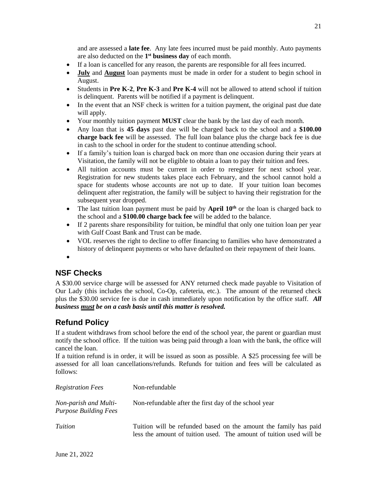and are assessed a **late fee**. Any late fees incurred must be paid monthly. Auto payments are also deducted on the **1 st business day** of each month.

- If a loan is cancelled for any reason, the parents are responsible for all fees incurred.
- **July** and **August** loan payments must be made in order for a student to begin school in August.
- Students in **Pre K-2**, **Pre K-3** and **Pre K-4** will not be allowed to attend school if tuition is delinquent. Parents will be notified if a payment is delinquent.
- In the event that an NSF check is written for a tuition payment, the original past due date will apply.
- Your monthly tuition payment **MUST** clear the bank by the last day of each month.
- Any loan that is **45 days** past due will be charged back to the school and a **\$100.00 charge back fee** will be assessed. The full loan balance plus the charge back fee is due in cash to the school in order for the student to continue attending school.
- If a family's tuition loan is charged back on more than one occasion during their years at Visitation, the family will not be eligible to obtain a loan to pay their tuition and fees.
- All tuition accounts must be current in order to reregister for next school year. Registration for new students takes place each February, and the school cannot hold a space for students whose accounts are not up to date. If your tuition loan becomes delinquent after registration, the family will be subject to having their registration for the subsequent year dropped.
- The last tuition loan payment must be paid by **April 10<sup>th</sup>** or the loan is charged back to the school and a **\$100.00 charge back fee** will be added to the balance.
- If 2 parents share responsibility for tuition, be mindful that only one tuition loan per year with Gulf Coast Bank and Trust can be made.
- VOL reserves the right to decline to offer financing to families who have demonstrated a history of delinquent payments or who have defaulted on their repayment of their loans.
- •

## **NSF Checks**

A \$30.00 service charge will be assessed for ANY returned check made payable to Visitation of Our Lady (this includes the school, Co-Op, cafeteria, etc.). The amount of the returned check plus the \$30.00 service fee is due in cash immediately upon notification by the office staff. *All business must be on a cash basis until this matter is resolved.*

## **Refund Policy**

If a student withdraws from school before the end of the school year, the parent or guardian must notify the school office. If the tuition was being paid through a loan with the bank, the office will cancel the loan.

If a tuition refund is in order, it will be issued as soon as possible. A \$25 processing fee will be assessed for all loan cancellations/refunds. Refunds for tuition and fees will be calculated as follows:

| <b>Registration Fees</b>                              | Non-refundable                                                                                                                          |
|-------------------------------------------------------|-----------------------------------------------------------------------------------------------------------------------------------------|
| Non-parish and Multi-<br><b>Purpose Building Fees</b> | Non-refundable after the first day of the school year                                                                                   |
| Tuition                                               | Tuition will be refunded based on the amount the family has paid<br>less the amount of tuition used. The amount of tuition used will be |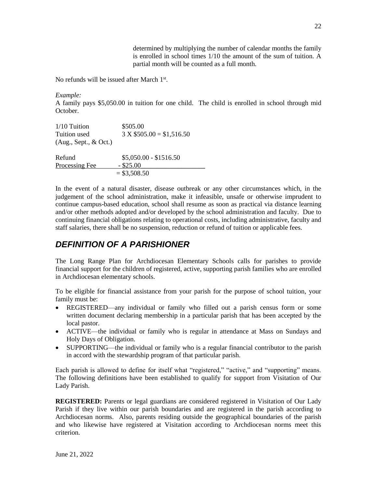determined by multiplying the number of calendar months the family is enrolled in school times 1/10 the amount of the sum of tuition. A partial month will be counted as a full month.

No refunds will be issued after March 1<sup>st</sup>.

*Example:*

A family pays \$5,050.00 in tuition for one child. The child is enrolled in school through mid October.

| 1/10 Tuition          | \$505.00                  |
|-----------------------|---------------------------|
| Tuition used          | $3 X $505.00 = $1,516.50$ |
| (Aug., Sept., & Oct.) |                           |
| Refund                | $$5,050.00 - $1516.50$    |
| Processing Fee        | $-$ \$25.00               |
|                       | $= $3,508.50$             |

In the event of a natural disaster, disease outbreak or any other circumstances which, in the judgement of the school administration, make it infeasible, unsafe or otherwise imprudent to continue campus-based education, school shall resume as soon as practical via distance learning and/or other methods adopted and/or developed by the school administration and faculty. Due to continuing financial obligations relating to operational costs, including administrative, faculty and staff salaries, there shall be no suspension, reduction or refund of tuition or applicable fees.

## *DEFINITION OF A PARISHIONER*

The Long Range Plan for Archdiocesan Elementary Schools calls for parishes to provide financial support for the children of registered, active, supporting parish families who are enrolled in Archdiocesan elementary schools.

To be eligible for financial assistance from your parish for the purpose of school tuition, your family must be:

- REGISTERED—any individual or family who filled out a parish census form or some written document declaring membership in a particular parish that has been accepted by the local pastor.
- ACTIVE—the individual or family who is regular in attendance at Mass on Sundays and Holy Days of Obligation.
- SUPPORTING—the individual or family who is a regular financial contributor to the parish in accord with the stewardship program of that particular parish.

Each parish is allowed to define for itself what "registered," "active," and "supporting" means. The following definitions have been established to qualify for support from Visitation of Our Lady Parish.

**REGISTERED:** Parents or legal guardians are considered registered in Visitation of Our Lady Parish if they live within our parish boundaries and are registered in the parish according to Archdiocesan norms. Also, parents residing outside the geographical boundaries of the parish and who likewise have registered at Visitation according to Archdiocesan norms meet this criterion.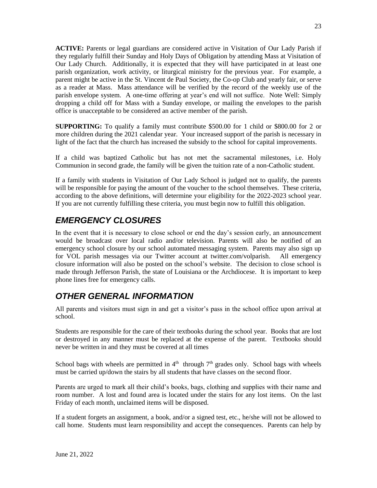**ACTIVE:** Parents or legal guardians are considered active in Visitation of Our Lady Parish if they regularly fulfill their Sunday and Holy Days of Obligation by attending Mass at Visitation of Our Lady Church. Additionally, it is expected that they will have participated in at least one parish organization, work activity, or liturgical ministry for the previous year. For example, a parent might be active in the St. Vincent de Paul Society, the Co-op Club and yearly fair, or serve as a reader at Mass. Mass attendance will be verified by the record of the weekly use of the parish envelope system. A one-time offering at year's end will not suffice. Note Well: Simply dropping a child off for Mass with a Sunday envelope, or mailing the envelopes to the parish office is unacceptable to be considered an active member of the parish.

**SUPPORTING:** To qualify a family must contribute \$500.00 for 1 child or \$800.00 for 2 or more children during the 2021 calendar year. Your increased support of the parish is necessary in light of the fact that the church has increased the subsidy to the school for capital improvements.

If a child was baptized Catholic but has not met the sacramental milestones, i.e. Holy Communion in second grade, the family will be given the tuition rate of a non-Catholic student.

If a family with students in Visitation of Our Lady School is judged not to qualify, the parents will be responsible for paying the amount of the voucher to the school themselves. These criteria, according to the above definitions, will determine your eligibility for the 2022-2023 school year. If you are not currently fulfilling these criteria, you must begin now to fulfill this obligation.

## *EMERGENCY CLOSURES*

In the event that it is necessary to close school or end the day's session early, an announcement would be broadcast over local radio and/or television. Parents will also be notified of an emergency school closure by our school automated messaging system. Parents may also sign up for VOL parish messages via our Twitter account at twitter.com/volparish. All emergency closure information will also be posted on the school's website. The decision to close school is made through Jefferson Parish, the state of Louisiana or the Archdiocese. It is important to keep phone lines free for emergency calls.

## *OTHER GENERAL INFORMATION*

All parents and visitors must sign in and get a visitor's pass in the school office upon arrival at school.

Students are responsible for the care of their textbooks during the school year. Books that are lost or destroyed in any manner must be replaced at the expense of the parent. Textbooks should never be written in and they must be covered at all times

School bags with wheels are permitted in  $4<sup>th</sup>$  through  $7<sup>th</sup>$  grades only. School bags with wheels must be carried up/down the stairs by all students that have classes on the second floor.

Parents are urged to mark all their child's books, bags, clothing and supplies with their name and room number. A lost and found area is located under the stairs for any lost items. On the last Friday of each month, unclaimed items will be disposed.

If a student forgets an assignment, a book, and/or a signed test, etc., he/she will not be allowed to call home. Students must learn responsibility and accept the consequences. Parents can help by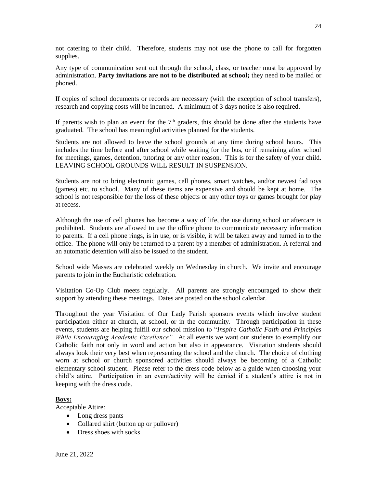not catering to their child. Therefore, students may not use the phone to call for forgotten supplies.

Any type of communication sent out through the school, class, or teacher must be approved by administration. **Party invitations are not to be distributed at school;** they need to be mailed or phoned.

If copies of school documents or records are necessary (with the exception of school transfers), research and copying costs will be incurred. A minimum of 3 days notice is also required.

If parents wish to plan an event for the  $7<sup>th</sup>$  graders, this should be done after the students have graduated. The school has meaningful activities planned for the students.

Students are not allowed to leave the school grounds at any time during school hours. This includes the time before and after school while waiting for the bus, or if remaining after school for meetings, games, detention, tutoring or any other reason. This is for the safety of your child. LEAVING SCHOOL GROUNDS WILL RESULT IN SUSPENSION.

Students are not to bring electronic games, cell phones, smart watches, and/or newest fad toys (games) etc. to school. Many of these items are expensive and should be kept at home. The school is not responsible for the loss of these objects or any other toys or games brought for play at recess.

Although the use of cell phones has become a way of life, the use during school or aftercare is prohibited. Students are allowed to use the office phone to communicate necessary information to parents. If a cell phone rings, is in use, or is visible, it will be taken away and turned in to the office. The phone will only be returned to a parent by a member of administration. A referral and an automatic detention will also be issued to the student.

School wide Masses are celebrated weekly on Wednesday in church. We invite and encourage parents to join in the Eucharistic celebration.

Visitation Co-Op Club meets regularly. All parents are strongly encouraged to show their support by attending these meetings. Dates are posted on the school calendar.

Throughout the year Visitation of Our Lady Parish sponsors events which involve student participation either at church, at school, or in the community. Through participation in these events, students are helping fulfill our school mission to "*Inspire Catholic Faith and Principles While Encouraging Academic Excellence".* At all events we want our students to exemplify our Catholic faith not only in word and action but also in appearance. Visitation students should always look their very best when representing the school and the church. The choice of clothing worn at school or church sponsored activities should always be becoming of a Catholic elementary school student. Please refer to the dress code below as a guide when choosing your child's attire. Participation in an event/activity will be denied if a student's attire is not in keeping with the dress code.

#### **Boys:**

Acceptable Attire:

- Long dress pants
- Collared shirt (button up or pullover)
- Dress shoes with socks